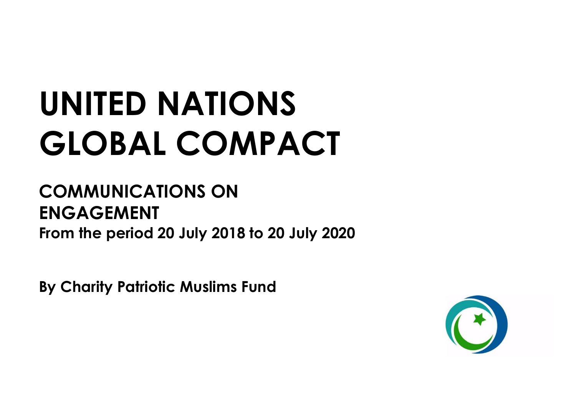# **UNITED NATIONS GLOBAL COMPACT**

# **COMMUNICATIONS ON ENGAGEMENT From the period 20 July 2018 to 20 July 2020**

**By Charity Patriotic Muslims Fund**

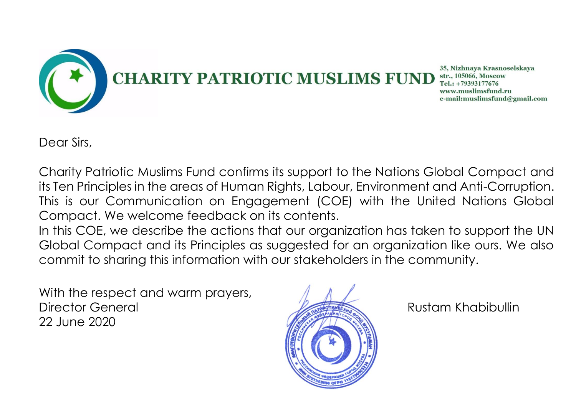

Dear Sirs,

Charity Patriotic Muslims Fund confirms its support to the Nations Global Compact and its Ten Principles in the areas of Human Rights, Labour, Environment and Anti-Corruption. This is our Communication on Engagement (COE) with the United Nations Global Compact. We welcome feedback on its contents.

In this COE, we describe the actions that our organization has taken to support the UN Global Compact and its Principles as suggested for an organization like ours. We also commit to sharing this information with our stakeholders in the community.

With the respect and warm prayers, Director General **Rustam Khabibullin** 22 June 2020

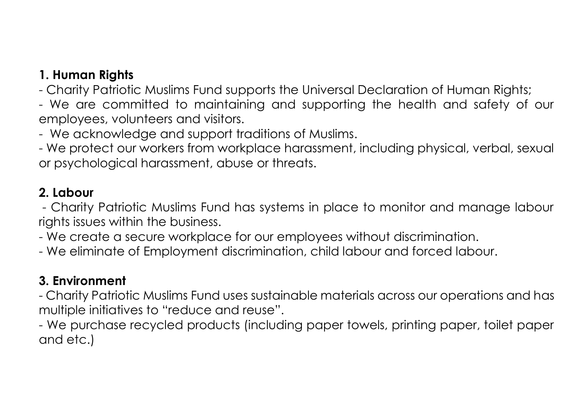# **1. Human Rights**

- Charity Patriotic Muslims Fund supports the Universal Declaration of Human Rights;

- We are committed to maintaining and supporting the health and safety of our employees, volunteers and visitors.

- We acknowledge and support traditions of Muslims.

- We protect our workers from workplace harassment, including physical, verbal, sexual or psychological harassment, abuse or threats.

### **2. Labour**

- Charity Patriotic Muslims Fund has systems in place to monitor and manage labour rights issues within the business.

- We create a secure workplace for our employees without discrimination.

- We eliminate of Employment discrimination, child labour and forced labour.

# **3. Environment**

- Charity Patriotic Muslims Fund uses sustainable materials across our operations and has multiple initiatives to "reduce and reuse".

- We purchase recycled products (including paper towels, printing paper, toilet paper and etc.)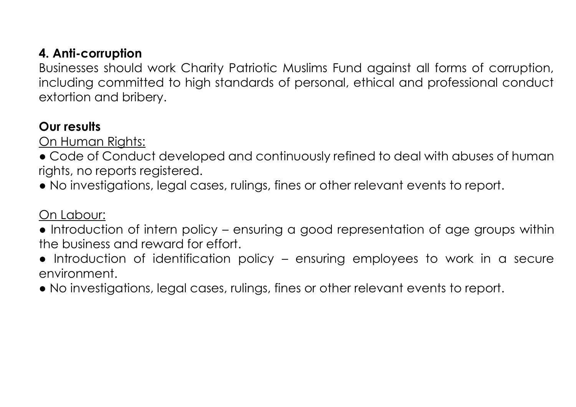## **4. Anti-corruption**

Businesses should work Charity Patriotic Muslims Fund against all forms of corruption, including committed to high standards of personal, ethical and professional conduct extortion and bribery.

#### **Our results**

On Human Rights:

- Code of Conduct developed and continuously refined to deal with abuses of human rights, no reports registered.
- No investigations, legal cases, rulings, fines or other relevant events to report.

#### On Labour:

- Introduction of intern policy ensuring a good representation of age groups within the business and reward for effort.
- Introduction of identification policy ensuring employees to work in a secure environment.
- No investigations, legal cases, rulings, fines or other relevant events to report.